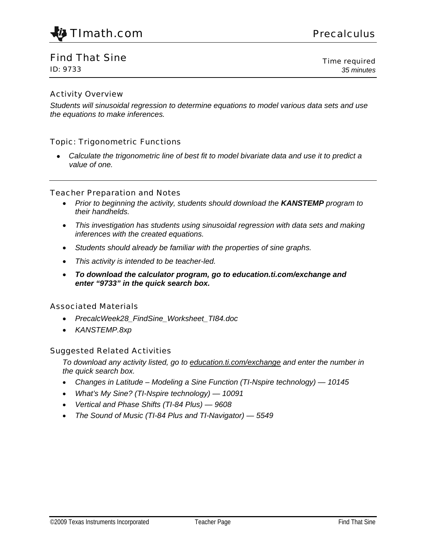

## Find That Sine

ID: 9733

Time required *35 minutes*

### Activity Overview

*Students will sinusoidal regression to determine equations to model various data sets and use the equations to make inferences.* 

### Topic: Trigonometric Functions

• *Calculate the trigonometric line of best fit to model bivariate data and use it to predict a value of one.* 

#### Teacher Preparation and Notes

- *Prior to beginning the activity, students should download the KANSTEMP program to their handhelds.*
- *This investigation has students using sinusoidal regression with data sets and making inferences with the created equations.*
- *Students should already be familiar with the properties of sine graphs.*
- *This activity is intended to be teacher-led.*
- *To download the calculator program, go to education.ti.com/exchange and enter "9733" in the quick search box.*

### Associated Materials

- *PrecalcWeek28\_FindSine\_Worksheet\_TI84.doc*
- *KANSTEMP.8xp*

### Suggested Related Activities

*To download any activity listed, go to education.ti.com/exchange and enter the number in the quick search box.* 

- *Changes in Latitude Modeling a Sine Function (TI-Nspire technology) 10145*
- *What's My Sine? (TI-Nspire technology) 10091*
- *Vertical and Phase Shifts (TI-84 Plus) 9608*
- *The Sound of Music (TI-84 Plus and TI-Navigator) 5549*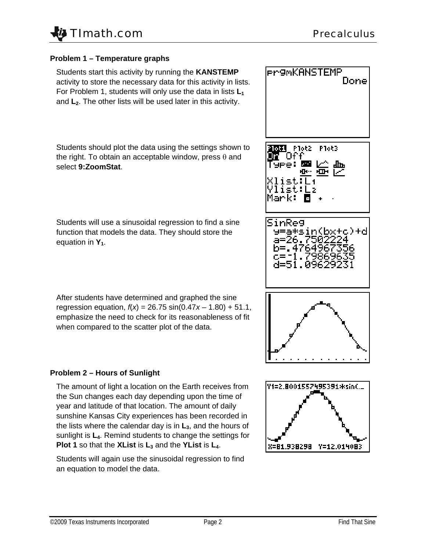

### **Problem 1 – Temperature graphs**

Students start this activity by running the **KANSTEMP** activity to store the necessary data for this activity in lists. For Problem 1, students will only use the data in lists  $L_1$ and L<sub>2</sub>. The other lists will be used later in this activity.

Students should plot the data using the settings shown to the right. To obtain an acceptable window, press  $\theta$  and select **9:ZoomStat**.

Students will use a sinusoidal regression to find a sine function that models the data. They should store the equation in  $Y_1$ .

After students have determined and graphed the sine regression equation,  $f(x) = 26.75 \sin(0.47x - 1.80) + 51.1$ , emphasize the need to check for its reasonableness of fit when compared to the scatter plot of the data.

## **Problem 2 – Hours of Sunlight**

The amount of light a location on the Earth receives from the Sun changes each day depending upon the time of year and latitude of that location. The amount of daily sunshine Kansas City experiences has been recorded in the lists where the calendar day is in  $L<sub>3</sub>$ , and the hours of sunlight is **L4**. Remind students to change the settings for **Plot 1** so that the **XList** is  $L_3$  and the **YList** is  $L_4$ .

Students will again use the sinusoidal regression to find an equation to model the data.